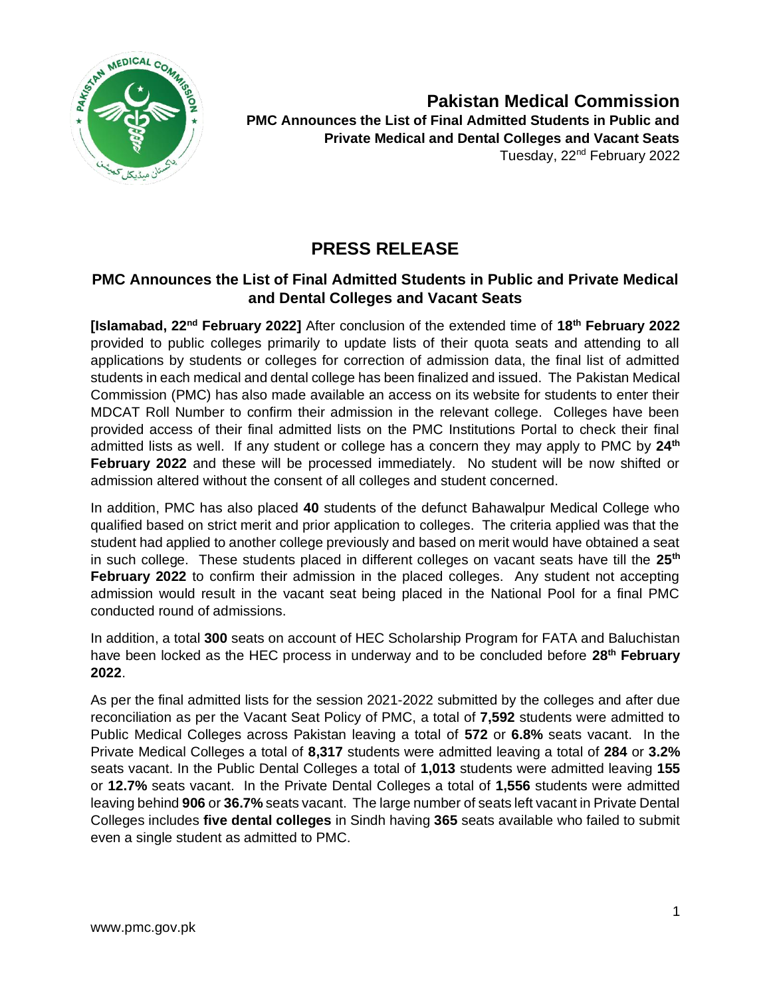

**Pakistan Medical Commission PMC Announces the List of Final Admitted Students in Public and Private Medical and Dental Colleges and Vacant Seats**  Tuesday, 22nd February 2022

## **PRESS RELEASE**

## **PMC Announces the List of Final Admitted Students in Public and Private Medical and Dental Colleges and Vacant Seats**

**[Islamabad, 22nd February 2022]** After conclusion of the extended time of **18th February 2022** provided to public colleges primarily to update lists of their quota seats and attending to all applications by students or colleges for correction of admission data, the final list of admitted students in each medical and dental college has been finalized and issued. The Pakistan Medical Commission (PMC) has also made available an access on its website for students to enter their MDCAT Roll Number to confirm their admission in the relevant college. Colleges have been provided access of their final admitted lists on the PMC Institutions Portal to check their final admitted lists as well. If any student or college has a concern they may apply to PMC by **24th February 2022** and these will be processed immediately. No student will be now shifted or admission altered without the consent of all colleges and student concerned.

In addition, PMC has also placed **40** students of the defunct Bahawalpur Medical College who qualified based on strict merit and prior application to colleges. The criteria applied was that the student had applied to another college previously and based on merit would have obtained a seat in such college. These students placed in different colleges on vacant seats have till the **25th February 2022** to confirm their admission in the placed colleges. Any student not accepting admission would result in the vacant seat being placed in the National Pool for a final PMC conducted round of admissions.

In addition, a total **300** seats on account of HEC Scholarship Program for FATA and Baluchistan have been locked as the HEC process in underway and to be concluded before **28th February 2022**.

As per the final admitted lists for the session 2021-2022 submitted by the colleges and after due reconciliation as per the Vacant Seat Policy of PMC, a total of **7,592** students were admitted to Public Medical Colleges across Pakistan leaving a total of **572** or **6.8%** seats vacant. In the Private Medical Colleges a total of **8,317** students were admitted leaving a total of **284** or **3.2%** seats vacant. In the Public Dental Colleges a total of **1,013** students were admitted leaving **155**  or **12.7%** seats vacant. In the Private Dental Colleges a total of **1,556** students were admitted leaving behind **906** or **36.7%** seats vacant. The large number of seats left vacant in Private Dental Colleges includes **five dental colleges** in Sindh having **365** seats available who failed to submit even a single student as admitted to PMC.